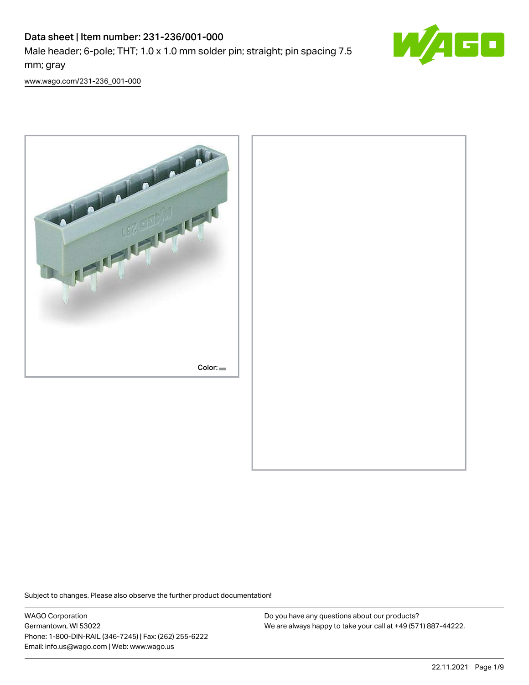# Data sheet | Item number: 231-236/001-000 Male header; 6-pole; THT; 1.0 x 1.0 mm solder pin; straight; pin spacing 7.5 mm; gray



[www.wago.com/231-236\\_001-000](http://www.wago.com/231-236_001-000)



Subject to changes. Please also observe the further product documentation!

WAGO Corporation Germantown, WI 53022 Phone: 1-800-DIN-RAIL (346-7245) | Fax: (262) 255-6222 Email: info.us@wago.com | Web: www.wago.us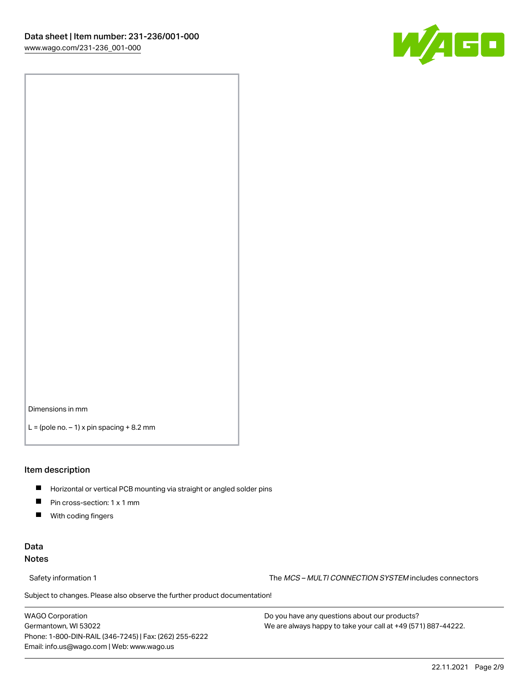

Dimensions in mm

 $L =$  (pole no.  $-1$ ) x pin spacing  $+8.2$  mm

#### Item description

- **Horizontal or vertical PCB mounting via straight or angled solder pins**
- **Pin cross-section: 1 x 1 mm**
- $\blacksquare$ With coding fingers

#### Data Notes

Safety information 1 The MCS – MULTI CONNECTION SYSTEM includes connectors

Subject to changes. Please also observe the further product documentation!  $\nu$ 

WAGO Corporation Germantown, WI 53022 Phone: 1-800-DIN-RAIL (346-7245) | Fax: (262) 255-6222 Email: info.us@wago.com | Web: www.wago.us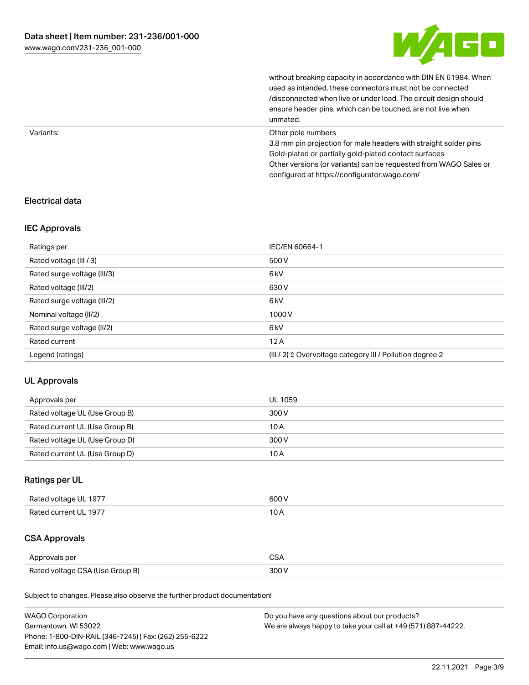

|           | without breaking capacity in accordance with DIN EN 61984. When<br>used as intended, these connectors must not be connected<br>/disconnected when live or under load. The circuit design should<br>ensure header pins, which can be touched, are not live when<br>unmated. |
|-----------|----------------------------------------------------------------------------------------------------------------------------------------------------------------------------------------------------------------------------------------------------------------------------|
| Variants: | Other pole numbers<br>3.8 mm pin projection for male headers with straight solder pins<br>Gold-plated or partially gold-plated contact surfaces<br>Other versions (or variants) can be requested from WAGO Sales or<br>configured at https://configurator.wago.com/        |

#### Electrical data

#### IEC Approvals

| Ratings per                 | IEC/EN 60664-1                                                        |
|-----------------------------|-----------------------------------------------------------------------|
| Rated voltage (III / 3)     | 500 V                                                                 |
| Rated surge voltage (III/3) | 6kV                                                                   |
| Rated voltage (III/2)       | 630 V                                                                 |
| Rated surge voltage (III/2) | 6 <sub>kV</sub>                                                       |
| Nominal voltage (II/2)      | 1000V                                                                 |
| Rated surge voltage (II/2)  | 6 <sub>kV</sub>                                                       |
| Rated current               | 12A                                                                   |
| Legend (ratings)            | $(III / 2)$ $\triangle$ Overvoltage category III / Pollution degree 2 |

## UL Approvals

| Approvals per                  | UL 1059 |
|--------------------------------|---------|
| Rated voltage UL (Use Group B) | 300 V   |
| Rated current UL (Use Group B) | 10 A    |
| Rated voltage UL (Use Group D) | 300 V   |
| Rated current UL (Use Group D) | 10 A    |

## Ratings per UL

| Rated voltage UL 1977 | 600V   |
|-----------------------|--------|
| Rated current UL 1977 | $\sim$ |

## CSA Approvals

| Approvals per                   | ~~    |
|---------------------------------|-------|
| Rated voltage CSA (Use Group B) | 3UU 1 |

Subject to changes. Please also observe the further product documentation!

| <b>WAGO Corporation</b>                                | Do you have any questions about our products?                 |
|--------------------------------------------------------|---------------------------------------------------------------|
| Germantown, WI 53022                                   | We are always happy to take your call at +49 (571) 887-44222. |
| Phone: 1-800-DIN-RAIL (346-7245)   Fax: (262) 255-6222 |                                                               |
| Email: info.us@wago.com   Web: www.wago.us             |                                                               |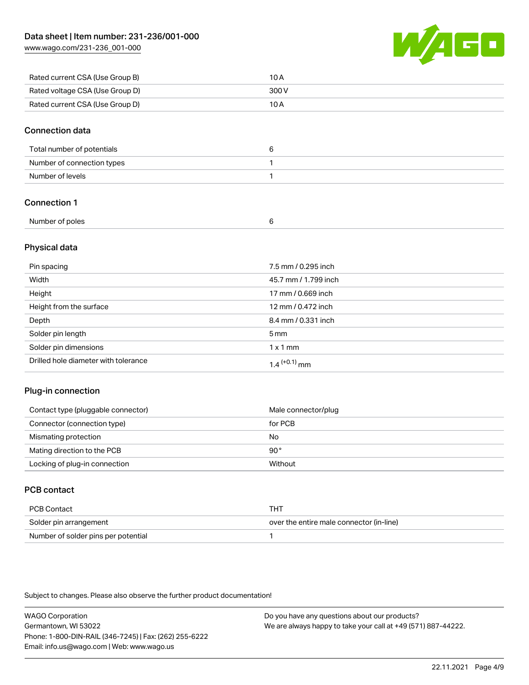[www.wago.com/231-236\\_001-000](http://www.wago.com/231-236_001-000)



| Rated current CSA (Use Group B) | 10 A  |
|---------------------------------|-------|
| Rated voltage CSA (Use Group D) | 300 V |
| Rated current CSA (Use Group D) | 10 A  |

#### Connection data

| Total number of potentials |  |
|----------------------------|--|
| Number of connection types |  |
| Number of levels           |  |

## Connection 1

#### Physical data

| Pin spacing                          | 7.5 mm / 0.295 inch  |
|--------------------------------------|----------------------|
| Width                                | 45.7 mm / 1.799 inch |
| Height                               | 17 mm / 0.669 inch   |
| Height from the surface              | 12 mm / 0.472 inch   |
| Depth                                | 8.4 mm / 0.331 inch  |
| Solder pin length                    | $5 \,\mathrm{mm}$    |
| Solder pin dimensions                | $1 \times 1$ mm      |
| Drilled hole diameter with tolerance | $1.4$ $(+0.1)$ mm    |

#### Plug-in connection

| Contact type (pluggable connector) | Male connector/plug |
|------------------------------------|---------------------|
| Connector (connection type)        | for PCB             |
| Mismating protection               | No                  |
| Mating direction to the PCB        | 90°                 |
| Locking of plug-in connection      | Without             |

## PCB contact

| PCB Contact                         | THT                                      |
|-------------------------------------|------------------------------------------|
| Solder pin arrangement              | over the entire male connector (in-line) |
| Number of solder pins per potential |                                          |

Subject to changes. Please also observe the further product documentation!

WAGO Corporation Germantown, WI 53022 Phone: 1-800-DIN-RAIL (346-7245) | Fax: (262) 255-6222 Email: info.us@wago.com | Web: www.wago.us Do you have any questions about our products? We are always happy to take your call at +49 (571) 887-44222.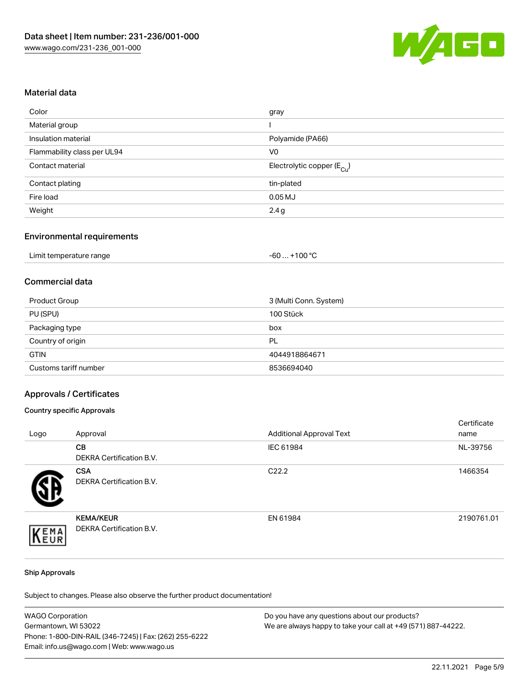

#### Material data

| gray                                   |
|----------------------------------------|
|                                        |
| Polyamide (PA66)                       |
| V <sub>0</sub>                         |
| Electrolytic copper (E <sub>Cu</sub> ) |
| tin-plated                             |
| $0.05$ MJ                              |
| 2.4g                                   |
|                                        |

#### Environmental requirements

| Limit temperature range | $+100 °C$<br>-60 |
|-------------------------|------------------|
|-------------------------|------------------|

## Commercial data

| Product Group         | 3 (Multi Conn. System) |
|-----------------------|------------------------|
| PU (SPU)              | 100 Stück              |
| Packaging type        | box                    |
| Country of origin     | PL                     |
| <b>GTIN</b>           | 4044918864671          |
| Customs tariff number | 8536694040             |

#### Approvals / Certificates

#### Country specific Approvals

| Logo | Approval                                            | <b>Additional Approval Text</b> | Certificate<br>name |
|------|-----------------------------------------------------|---------------------------------|---------------------|
|      | <b>CB</b><br>DEKRA Certification B.V.               | IEC 61984                       | NL-39756            |
|      | <b>CSA</b><br>DEKRA Certification B.V.              | C <sub>22.2</sub>               | 1466354             |
| EMA  | <b>KEMA/KEUR</b><br><b>DEKRA Certification B.V.</b> | EN 61984                        | 2190761.01          |

#### Ship Approvals

Subject to changes. Please also observe the further product documentation!

| <b>WAGO Corporation</b>                                | Do you have any questions about our products?                 |
|--------------------------------------------------------|---------------------------------------------------------------|
| Germantown, WI 53022                                   | We are always happy to take your call at +49 (571) 887-44222. |
| Phone: 1-800-DIN-RAIL (346-7245)   Fax: (262) 255-6222 |                                                               |
| Email: info.us@wago.com   Web: www.wago.us             |                                                               |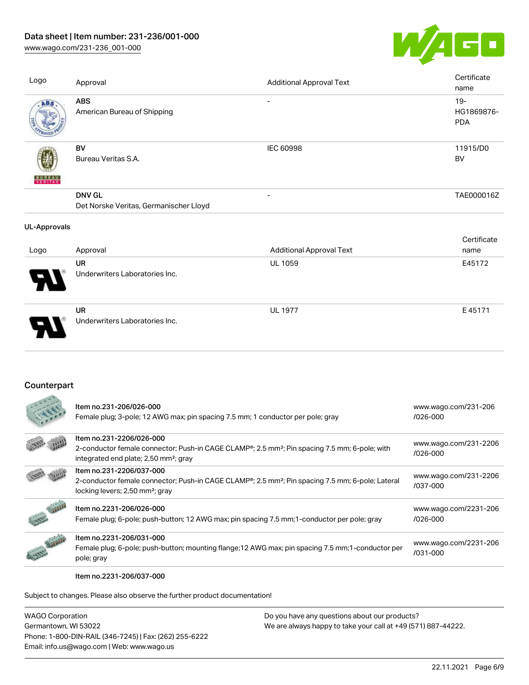[www.wago.com/231-236\\_001-000](http://www.wago.com/231-236_001-000)



| Logo                | Approval                                                | <b>Additional Approval Text</b> | Certificate<br>name                |
|---------------------|---------------------------------------------------------|---------------------------------|------------------------------------|
| ABS                 | <b>ABS</b><br>American Bureau of Shipping               |                                 | $19 -$<br>HG1869876-<br><b>PDA</b> |
| <b>BUREAU</b>       | BV<br>Bureau Veritas S.A.                               | IEC 60998                       | 11915/D0<br>BV                     |
|                     | <b>DNV GL</b><br>Det Norske Veritas, Germanischer Lloyd | $\overline{\phantom{a}}$        | TAE000016Z                         |
| <b>UL-Approvals</b> |                                                         |                                 |                                    |
| Logo                | Approval                                                | <b>Additional Approval Text</b> | Certificate<br>name                |
|                     | UR<br>Underwriters Laboratories Inc.                    | UL 1059                         | E45172                             |
|                     | <b>UR</b><br>Underwriters Laboratories Inc.             | <b>UL 1977</b>                  | E45171                             |

## **Counterpart**

|             | Item no.231-206/026-000<br>Female plug; 3-pole; 12 AWG max; pin spacing 7.5 mm; 1 conductor per pole; gray                                                                                                                                                | www.wago.com/231-206<br>$/026 - 000$  |
|-------------|-----------------------------------------------------------------------------------------------------------------------------------------------------------------------------------------------------------------------------------------------------------|---------------------------------------|
|             | Item no.231-2206/026-000<br>2-conductor female connector; Push-in CAGE CLAMP <sup>®</sup> ; 2.5 mm <sup>2</sup> ; Pin spacing 7.5 mm; 6-pole; with                                                                                                        | www.wago.com/231-2206<br>$/026 - 000$ |
|             | integrated end plate; 2,50 mm <sup>2</sup> ; gray<br>Item no.231-2206/037-000<br>2-conductor female connector; Push-in CAGE CLAMP <sup>®</sup> ; 2.5 mm <sup>2</sup> ; Pin spacing 7.5 mm; 6-pole; Lateral<br>locking levers; 2,50 mm <sup>2</sup> ; gray | www.wago.com/231-2206<br>/037-000     |
|             | Item no.2231-206/026-000<br>Female plug; 6-pole; push-button; 12 AWG max; pin spacing 7.5 mm; 1-conductor per pole; gray                                                                                                                                  | www.wago.com/2231-206<br>$/026 - 000$ |
| <b>CANA</b> | Item no.2231-206/031-000<br>Female plug; 6-pole; push-button; mounting flange; 12 AWG max; pin spacing 7.5 mm; 1-conductor per<br>pole; gray                                                                                                              | www.wago.com/2231-206<br>/031-000     |

Item no.2231-206/037-000

Subject to changes. Please also observe the further product documentation!

WAGO Corporation Germantown, WI 53022 Phone: 1-800-DIN-RAIL (346-7245) | Fax: (262) 255-6222 Email: info.us@wago.com | Web: www.wago.us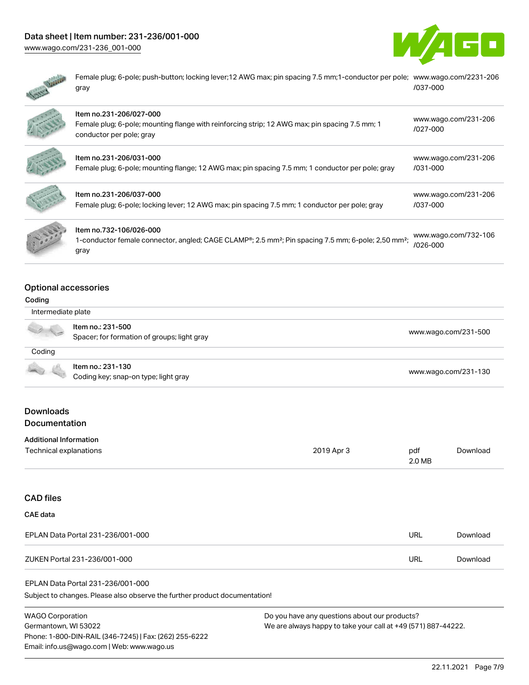# Data sheet | Item number: 231-236/001-000

[www.wago.com/231-236\\_001-000](http://www.wago.com/231-236_001-000)





Female plug; 6-pole; push-button; locking lever;12 AWG max; pin spacing 7.5 mm;1-conductor per pole; [www.wago.com/2231-206](https://www.wago.com/2231-206/037-000) gray [/037-000](https://www.wago.com/2231-206/037-000)

| Item no.231-206/027-000<br>Female plug; 6-pole; mounting flange with reinforcing strip; 12 AWG max; pin spacing 7.5 mm; 1<br>conductor per pole; gray          | www.wago.com/231-206<br>$1027 - 000$ |
|----------------------------------------------------------------------------------------------------------------------------------------------------------------|--------------------------------------|
| Item no.231-206/031-000<br>Female plug; 6-pole; mounting flange; 12 AWG max; pin spacing 7.5 mm; 1 conductor per pole; gray                                    | www.wago.com/231-206<br>/031-000     |
| Item no.231-206/037-000<br>Female plug; 6-pole; locking lever; 12 AWG max; pin spacing 7.5 mm; 1 conductor per pole; gray                                      | www.wago.com/231-206<br>/037-000     |
| Item no.732-106/026-000<br>1-conductor female connector, angled; CAGE CLAMP®; 2.5 mm <sup>2</sup> ; Pin spacing 7.5 mm; 6-pole; 2,50 mm <sup>2</sup> ;<br>gray | www.wago.com/732-106<br>$/026 - 000$ |

## Optional accessories

#### Coding

| Intermediate plate |                                                                  |                      |
|--------------------|------------------------------------------------------------------|----------------------|
|                    | Item no.: 231-500<br>Spacer; for formation of groups; light gray | www.wago.com/231-500 |
| Coding             |                                                                  |                      |
|                    | Item no.: 231-130<br>Coding key; snap-on type; light gray        | www.wago.com/231-130 |
|                    |                                                                  |                      |

## **Downloads Documentation**

| Technical explanations | 2019 Apr 3 | pdf    | Download |
|------------------------|------------|--------|----------|
|                        |            | 2.0 MB |          |

## CAD files CAE data

| EPLAN Data Portal 231-236/001-000 | URL | Download |
|-----------------------------------|-----|----------|
| ZUKEN Portal 231-236/001-000      | URL | Download |

#### EPLAN Data Portal 231-236/001-000

Subject to changes. Please also observe the further product documentation!

WAGO Corporation Germantown, WI 53022 Phone: 1-800-DIN-RAIL (346-7245) | Fax: (262) 255-6222 Email: info.us@wago.com | Web: www.wago.us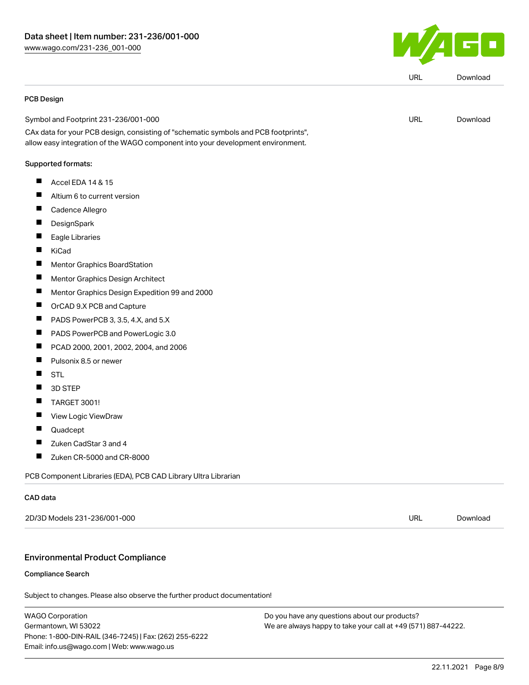

|                              | PCB Design                                                                          |            |          |
|------------------------------|-------------------------------------------------------------------------------------|------------|----------|
|                              | Symbol and Footprint 231-236/001-000                                                | URL        | Download |
|                              | CAx data for your PCB design, consisting of "schematic symbols and PCB footprints", |            |          |
|                              | allow easy integration of the WAGO component into your development environment.     |            |          |
|                              | Supported formats:                                                                  |            |          |
| Ш                            | Accel EDA 14 & 15                                                                   |            |          |
|                              | Altium 6 to current version                                                         |            |          |
| ш                            | Cadence Allegro                                                                     |            |          |
|                              | DesignSpark                                                                         |            |          |
|                              | Eagle Libraries                                                                     |            |          |
| ш                            | KiCad                                                                               |            |          |
|                              | Mentor Graphics BoardStation                                                        |            |          |
| ш                            | Mentor Graphics Design Architect                                                    |            |          |
| ш                            | Mentor Graphics Design Expedition 99 and 2000                                       |            |          |
|                              | OrCAD 9.X PCB and Capture                                                           |            |          |
| L                            | PADS PowerPCB 3, 3.5, 4.X, and 5.X                                                  |            |          |
|                              | PADS PowerPCB and PowerLogic 3.0                                                    |            |          |
|                              | PCAD 2000, 2001, 2002, 2004, and 2006                                               |            |          |
| ш                            | Pulsonix 8.5 or newer                                                               |            |          |
|                              | <b>STL</b>                                                                          |            |          |
|                              | 3D STEP                                                                             |            |          |
| ш                            | <b>TARGET 3001!</b>                                                                 |            |          |
|                              | View Logic ViewDraw                                                                 |            |          |
|                              | Quadcept                                                                            |            |          |
| Ш                            | Zuken CadStar 3 and 4                                                               |            |          |
|                              | Zuken CR-5000 and CR-8000                                                           |            |          |
|                              | PCB Component Libraries (EDA), PCB CAD Library Ultra Librarian                      |            |          |
| CAD data                     |                                                                                     |            |          |
| 2D/3D Models 231-236/001-000 |                                                                                     | <b>URL</b> | Download |

Subject to changes. Please also observe the further product documentation!

WAGO Corporation Germantown, WI 53022 Phone: 1-800-DIN-RAIL (346-7245) | Fax: (262) 255-6222 Email: info.us@wago.com | Web: www.wago.us

Compliance Search